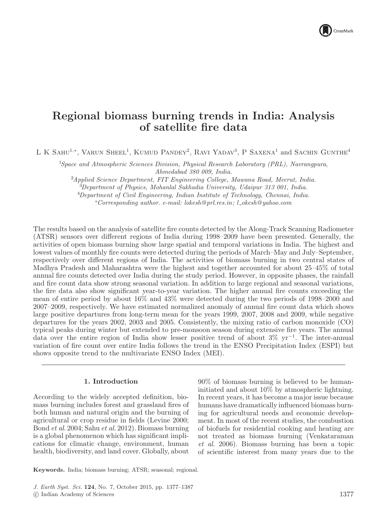# Regional biomass burning trends in India: Analysis of satellite fire data

L K SAHU<sup>1,\*</sup>, VARUN SHEEL<sup>1</sup>, KUMUD PANDEY<sup>2</sup>, RAVI YADAV<sup>3</sup>, P SAXENA<sup>1</sup> and SACHIN GUNTHE<sup>4</sup>

<sup>1</sup>*Space and Atmospheric Sciences Division, Physical Research Laboratory (PRL), Navrangpura, Ahmedabad 380 009, India.*

<sup>2</sup>*Applied Science Department, FIT Engineering College, Mawana Road, Meerut, India.*

<sup>3</sup>*Department of Physics, Mohanlal Sukhadia University, Udaipur 313 001, India.*

<sup>4</sup>*Department of Civil Engineering, Indian Institute of Technology, Chennai, India.*

<sup>∗</sup>*Corresponding author*. *e-mail: lokesh@prl.res.in ; l okesh@yahoo.com*

The results based on the analysis of satellite fire counts detected by the Along-Track Scanning Radiometer (ATSR) sensors over different regions of India during 1998–2009 have been presented. Generally, the activities of open biomass burning show large spatial and temporal variations in India. The highest and lowest values of monthly fire counts were detected during the periods of March–May and July–September, respectively over different regions of India. The activities of biomass burning in two central states of Madhya Pradesh and Maharashtra were the highest and together accounted for about 25–45% of total annual fire counts detected over India during the study period. However, in opposite phases, the rainfall and fire count data show strong seasonal variation. In addition to large regional and seasonal variations, the fire data also show significant year-to-year variation. The higher annual fire counts exceeding the mean of entire period by about 16% and 43% were detected during the two periods of 1998–2000 and 2007–2009, respectively. We have estimated normalized anomaly of annual fire count data which shows large positive departures from long-term mean for the years 1999, 2007, 2008 and 2009, while negative departures for the years 2002, 2003 and 2005. Consistently, the mixing ratio of carbon monoxide (CO) typical peaks during winter but extended to pre-monsoon season during extensive fire years. The annual data over the entire region of India show lesser positive trend of about 3% yr<sup>−</sup><sup>1</sup> . The inter-annual variation of fire count over entire India follows the trend in the ENSO Precipitation Index (ESPI) but shows opposite trend to the multivariate ENSO Index (MEI).

# 1. Introduction

According to the widely accepted definition, biomass burning includes forest and grassland fires of both human and natural origin and the burning of agricultural or crop residue in fields (Levine 2000; Bond *et al*. 2004; Sahu *et al*. 2012). Biomass burning is a global phenomenon which has significant implications for climatic change, environment, human health, biodiversity, and land cover. Globally, about

90% of biomass burning is believed to be humaninitiated and about 10% by atmospheric lightning. In recent years, it has become a major issue because humans have dramatically influenced biomass burning for agricultural needs and economic development. In most of the recent studies, the combustion of biofuels for residential cooking and heating are not treated as biomass burning (Venkataraman *et al*. 2006). Biomass burning has been a topic of scientific interest from many years due to the

Keywords. India; biomass burning; ATSR; seasonal; regional.

J. Earth Syst. Sci. 124, No. 7, October 2015, pp. 1377–1387 -c Indian Academy of Sciences 1377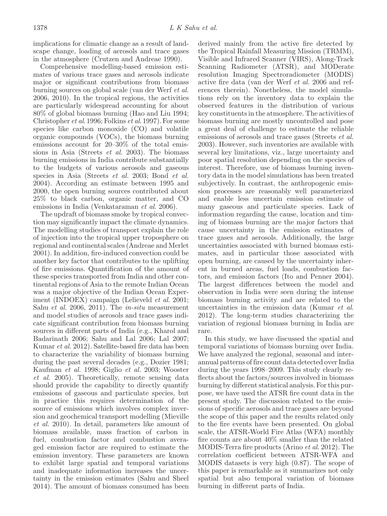implications for climatic change as a result of landscape change, loading of aerosols and trace gases in the atmosphere (Crutzen and Andreae 1990).

Comprehensive modelling-based emission estimates of various trace gases and aerosols indicate major or significant contributions from biomass burning sources on global scale (van der Werf *et al.* 2006, 2010). In the tropical regions, the activities are particularly widespread accounting for about 80% of global biomass burning (Hao and Liu 1994; Christopher *et al*. 1996; Folkins *et al*. 1997). For some species like carbon monoxide (CO) and volatile organic compounds (VOCs), the biomass burning emissions account for 20–30% of the total emissions in Asia (Streets *et al.* 2003). The biomass burning emissions in India contribute substantially to the budgets of various aerosols and gaseous species in Asia (Streets *et al.* 2003; Bond *et al.* 2004). According an estimate between 1995 and 2000, the open burning sources contributed about 25% to black carbon, organic matter, and CO emissions in India (Venkataraman *et al*. 2006).

The updraft of biomass smoke by tropical convection may significantly impact the climate dynamics. The modelling studies of transport explain the role of injection into the tropical upper troposphere on regional and continental scales (Andreae and Merlet 2001). In addition, fire-induced convection could be another key factor that contributes to the uplifting of fire emissions. Quantification of the amount of these species transported from India and other continental regions of Asia to the remote Indian Ocean was a major objective of the Indian Ocean Experiment (INDOEX) campaign (Lelieveld *et al.* 2001; Sahu *et al.* 2006, 2011). The *in-situ* measurement and model studies of aerosols and trace gases indicate significant contribution from biomass burning sources in different parts of India (e.g., Kharol and Badarinath 2006; Sahu and Lal 2006; Lal 2007; Kumar *et al.* 2012). Satellite-based fire data has been to characterize the variability of biomass burning during the past several decades (e.g., Dozier 1981; Kaufman *et al.* 1998; Giglio *et al.* 2003; Wooster *et al.* 2005). Theoretically, remote sensing data should provide the capability to directly quantify emissions of gaseous and particulate species, but in practice this requires determination of the source of emissions which involves complex inversion and geochemical transport modelling (Mieville *et al.* 2010). In detail, parameters like amount of biomass available, mass fraction of carbon in fuel, combustion factor and combustion averaged emission factor are required to estimate the emission inventory. These parameters are known to exhibit large spatial and temporal variations and inadequate information increases the uncertainty in the emission estimates (Sahu and Sheel 2014). The amount of biomass consumed has been

derived mainly from the active fire detected by the Tropical Rainfall Measuring Mission (TRMM), Visible and Infrared Scanner (VIRS), Along-Track Scanning Radiometer (ATSR), and MODerate resolution Imaging Spectroradiometer (MODIS) active fire data (van der Werf *et al.* 2006 and references therein). Nonetheless, the model simulations rely on the inventory data to explain the observed features in the distribution of various key constituents in the atmosphere. The activities of biomass burning are mostly uncontrolled and pose a great deal of challenge to estimate the reliable emissions of aerosols and trace gases (Streets *et al.* 2003). However, such inventories are available with several key limitations, viz., large uncertainty and poor spatial resolution depending on the species of interest. Therefore, use of biomass burning inventory data in the model simulations has been treated subjectively. In contrast, the anthropogenic emission processes are reasonably well parameterized and enable less uncertain emission estimate of many gaseous and particulate species. Lack of information regarding the cause, location and timing of biomass burning are the major factors that cause uncertainty in the emission estimates of trace gases and aerosols. Additionally, the large uncertainties associated with burned biomass estimates, and in particular those associated with open burning, are caused by the uncertainty inherent in burned areas, fuel loads, combustion factors, and emission factors (Ito and Penner 2004). The largest differences between the model and observation in India were seen during the intense biomass burning activity and are related to the uncertainties in the emission data (Kumar *et al*. 2012). The long-term studies characterizing the variation of regional biomass burning in India are rare.

In this study, we have discussed the spatial and temporal variations of biomass burning over India. We have analyzed the regional, seasonal and interannual patterns of fire count data detected over India during the years 1998–2009. This study clearly reflects about the factors/sources involved in biomass burning by different statistical analysis. For this purpose, we have used the ATSR fire count data in the present study. The discussion related to the emissions of specific aerosols and trace gases are beyond the scope of this paper and the results related only to the fire events have been presented. On global scale, the ATSR-World Fire Atlas (WFA) monthly fire counts are about 40% smaller than the related MODIS-Terra fire products (Arino *et al*. 2012). The correlation coefficient between ATSR-WFA and MODIS datasets is very high (0.87). The scope of this paper is remarkable as it summarizes not only spatial but also temporal variation of biomass burning in different parts of India.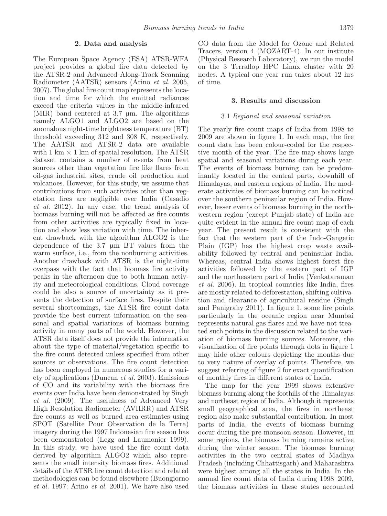## 2. Data and analysis

The European Space Agency (ESA) ATSR-WFA project provides a global fire data detected by the ATSR-2 and Advanced Along-Track Scanning Radiometer (AATSR) sensors (Arino *et al.* 2005, 2007). The global fire count map represents the location and time for which the emitted radiances exceed the criteria values in the middle-infrared (MIR) band centered at  $3.7 \mu m$ . The algorithms namely ALGO1 and ALGO2 are based on the anomalous night-time brightness temperature (BT) threshold exceeding 312 and 308 K, respectively. The AATSR and ATSR-2 data are available with 1 km  $\times$  1 km of spatial resolution. The ATSR dataset contains a number of events from heat sources other than vegetation fire like flares from oil-gas industrial sites, crude oil production and volcanoes. However, for this study, we assume that contributions from such activities other than vegetation fires are negligible over India (Casadio *et al.* 2012). In any case, the trend analysis of biomass burning will not be affected as fire counts from other activities are typically fixed in location and show less variation with time. The inherent drawback with the algorithm ALGO2 is the dependence of the 3.7 µm BT values from the warm surface, i.e., from the nonburning activities. Another drawback with ATSR is the night-time overpass with the fact that biomass fire activity peaks in the afternoon due to both human activity and meteorological conditions. Cloud coverage could be also a source of uncertainty as it prevents the detection of surface fires. Despite their several shortcomings, the ATSR fire count data provide the best current information on the seasonal and spatial variations of biomass burning activity in many parts of the world. However, the ATSR data itself does not provide the information about the type of material/vegetation specific to the fire count detected unless specified from other sources or observations. The fire count detection has been employed in numerous studies for a variety of applications (Duncan *et al.* 2003). Emissions of CO and its variability with the biomass fire events over India have been demonstrated by Singh *et al.* (2009). The usefulness of Advanced Very High Resolution Radiometer (AVHRR) and ATSR fire counts as well as burned area estimates using SPOT (Satellite Pour Observation de la Terra) imagery during the 1997 Indonesian fire season has been demonstrated (Legg and Laumonier 1999). In this study, we have used the fire count data derived by algorithm ALGO2 which also represents the small intensity biomass fires. Additional details of the ATSR fire count detection and related methodologies can be found elsewhere (Buongiorno *et al.* 1997; Arino *et al.* 2001). We have also used

CO data from the Model for Ozone and Related Tracers, version 4 (MOZART-4). In our institute (Physical Research Laboratory), we run the model on the 3 Terraflop HPC Linux cluster with 20 nodes. A typical one year run takes about 12 hrs of time.

## 3. Results and discussion

#### 3.1 *Regional and seasonal variation*

The yearly fire count maps of India from 1998 to 2009 are shown in figure 1. In each map, the fire count data has been colour-coded for the respective month of the year. The fire map shows large spatial and seasonal variations during each year. The events of biomass burning can be predominantly located in the central parts, downhill of Himalayas, and eastern regions of India. The moderate activities of biomass burning can be noticed over the southern peninsular region of India. However, lesser events of biomass burning in the northwestern region (except Punjab state) of India are quite evident in the annual fire count map of each year. The present result is consistent with the fact that the western part of the Indo-Gangetic Plain (IGP) has the highest crop waste availability followed by central and peninsular India. Whereas, central India shows highest forest fire activities followed by the eastern part of IGP and the northeastern part of India (Venkataraman *et al.* 2006). In tropical countries like India, fires are mostly related to deforestation, shifting cultivation and clearance of agricultural residue (Singh and Panigrahy 2011). In figure 1, some fire points particularly in the oceanic region near Mumbai represents natural gas flares and we have not treated such points in the discussion related to the variation of biomass burning sources. Moreover, the visualization of fire points through dots in figure 1 may hide other colours depicting the months due to very nature of overlay of points. Therefore, we suggest referring of figure 2 for exact quantification of monthly fires in different states of India.

The map for the year 1999 shows extensive biomass burning along the foothills of the Himalayas and northeast region of India. Although it represents small geographical area, the fires in northeast region also make substantial contribution. In most parts of India, the events of biomass burning occur during the pre-monsoon season. However, in some regions, the biomass burning remains active during the winter season. The biomass burning activities in the two central states of Madhya Pradesh (including Chhattisgarh) and Maharashtra were highest among all the states in India. In the annual fire count data of India during 1998–2009, the biomass activities in these states accounted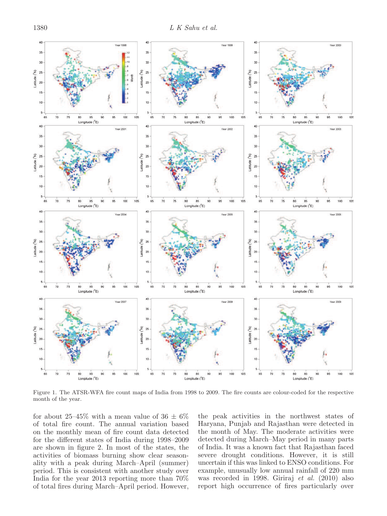

Figure 1. The ATSR-WFA fire count maps of India from 1998 to 2009. The fire counts are colour-coded for the respective month of the year.

for about 25–45% with a mean value of 36  $\pm$  6% of total fire count. The annual variation based on the monthly mean of fire count data detected for the different states of India during 1998–2009 are shown in figure 2. In most of the states, the activities of biomass burning show clear seasonality with a peak during March–April (summer) period. This is consistent with another study over India for the year 2013 reporting more than 70% of total fires during March–April period. However,

the peak activities in the northwest states of Haryana, Punjab and Rajasthan were detected in the month of May. The moderate activities were detected during March–May period in many parts of India. It was a known fact that Rajasthan faced severe drought conditions. However, it is still uncertain if this was linked to ENSO conditions. For example, unusually low annual rainfall of 220 mm was recorded in 1998. Giriraj *et al.* (2010) also report high occurrence of fires particularly over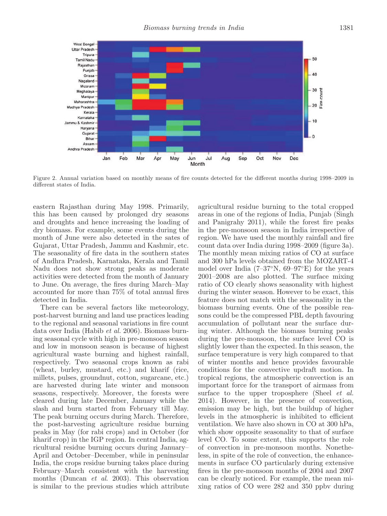

Figure 2. Annual variation based on monthly means of fire counts detected for the different months during 1998–2009 in different states of India.

eastern Rajasthan during May 1998. Primarily, this has been caused by prolonged dry seasons and droughts and hence increasing the loading of dry biomass. For example, some events during the month of June were also detected in the sates of Gujarat, Uttar Pradesh, Jammu and Kashmir, etc. The seasonality of fire data in the southern states of Andhra Pradesh, Karnataka, Kerala and Tamil Nadu does not show strong peaks as moderate activities were detected from the month of January to June. On average, the fires during March–May accounted for more than 75% of total annual fires detected in India.

There can be several factors like meteorology, post-harvest burning and land use practices leading to the regional and seasonal variations in fire count data over India (Habib *et al.* 2006). Biomass burning seasonal cycle with high in pre-monsoon season and low in monsoon season is because of highest agricultural waste burning and highest rainfall, respectively. Two seasonal crops known as rabi (wheat, burley, mustard, etc.) and kharif (rice, millets, pulses, groundnut, cotton, sugarcane, etc.) are harvested during late winter and monsoon seasons, respectively. Moreover, the forests were cleared during late December, January while the slash and burn started from February till May. The peak burning occurs during March. Therefore, the post-harvesting agriculture residue burning peaks in May (for rabi crops) and in October (for kharif crop) in the IGP region. In central India, agricultural residue burning occurs during January– April and October–December, while in peninsular India, the crops residue burning takes place during February–March consistent with the harvesting months (Duncan *et al*. 2003). This observation is similar to the previous studies which attribute agricultural residue burning to the total cropped areas in one of the regions of India, Punjab (Singh and Panigrahy 2011), while the forest fire peaks in the pre-monsoon season in India irrespective of region. We have used the monthly rainfall and fire count data over India during 1998–2009 (figure 3a). The monthly mean mixing ratios of CO at surface and 300 hPa levels obtained from the MOZART-4 model over India (7–37◦N, 69–97◦E) for the years 2001–2008 are also plotted. The surface mixing ratio of CO clearly shows seasonality with highest during the winter season. However to be exact, this feature does not match with the seasonality in the biomass burning events. One of the possible reasons could be the compressed PBL depth favouring accumulation of pollutant near the surface during winter. Although the biomass burning peaks during the pre-monsoon, the surface level CO is slightly lower than the expected. In this season, the surface temperature is very high compared to that of winter months and hence provides favourable conditions for the convective updraft motion. In tropical regions, the atmospheric convection is an important force for the transport of airmass from surface to the upper troposphere (Sheel *et al.* 2014). However, in the presence of convection, emission may be high, but the buildup of higher levels in the atmospheric is inhibited to efficient ventilation. We have also shown in CO at 300 hPa, which show opposite seasonality to that of surface level CO. To some extent, this supports the role of convection in pre-monsoon months. Nonetheless, in spite of the role of convection, the enhancements in surface CO particularly during extensive fires in the pre-monsoon months of 2004 and 2007 can be clearly noticed. For example, the mean mixing ratios of CO were 282 and 350 ppbv during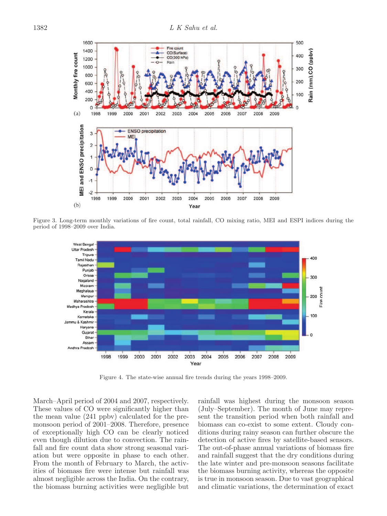

Figure 3. Long-term monthly variations of fire count, total rainfall, CO mixing ratio, MEI and ESPI indices during the period of 1998–2009 over India.



Figure 4. The state-wise annual fire trends during the years 1998–2009.

March–April period of 2004 and 2007, respectively. These values of CO were significantly higher than the mean value (241 ppbv) calculated for the premonsoon period of 2001–2008. Therefore, presence of exceptionally high CO can be clearly noticed even though dilution due to convection. The rainfall and fire count data show strong seasonal variation but were opposite in phase to each other. From the month of February to March, the activities of biomass fire were intense but rainfall was almost negligible across the India. On the contrary, the biomass burning activities were negligible but rainfall was highest during the monsoon season (July–September). The month of June may represent the transition period when both rainfall and biomass can co-exist to some extent. Cloudy conditions during rainy season can further obscure the detection of active fires by satellite-based sensors. The out-of-phase annual variations of biomass fire and rainfall suggest that the dry conditions during the late winter and pre-monsoon seasons facilitate the biomass burning activity, whereas the opposite is true in monsoon season. Due to vast geographical and climatic variations, the determination of exact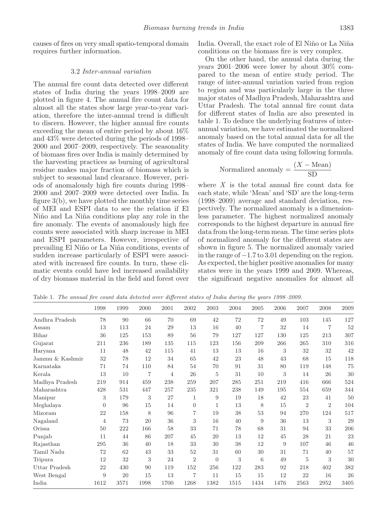causes of fires on very small spatio-temporal domain requires further information.

#### 3.2 *Inter-annual variation*

The annual fire count data detected over different states of India during the years 1998–2009 are plotted in figure 4. The annual fire count data for almost all the states show large year-to-year variation, therefore the inter-annual trend is difficult to discern. However, the higher annual fire counts exceeding the mean of entire period by about 16% and 43% were detected during the periods of 1998– 2000 and 2007–2009, respectively. The seasonality of biomass fires over India is mainly determined by the harvesting practices as burning of agricultural residue makes major fraction of biomass which is subject to seasonal land clearance. However, periods of anomalously high fire counts during 1998– 2000 and 2007–2009 were detected over India. In figure 3(b), we have plotted the monthly time series of MEI and ESPI data to see the relation if El Niño and La Niña conditions play any role in the fire anomaly. The events of anomalously high fire counts were associated with sharp increase in MEI and ESPI parameters. However, irrespective of prevailing El Ni˜no or La Ni˜na conditions, events of sudden increase particularly of ESPI were associated with increased fire counts. In turn, these climatic events could have led increased availability of dry biomass material in the field and forest over India. Overall, the exact role of El Niño or La Niña conditions on the biomass fire is very complex.

On the other hand, the annual data during the years 2001–2006 were lower by about 30% compared to the mean of entire study period. The range of inter-annual variation varied from region to region and was particularly large in the three major states of Madhya Pradesh, Maharashtra and Uttar Pradesh. The total annual fire count data for different states of India are also presented in table 1. To deduce the underlying features of interannual variation, we have estimated the normalized anomaly based on the total annual data for all the states of India. We have computed the normalized anomaly of fire count data using following formula.

$$
Normalized\ anomaly = \frac{(X - Mean)}{SD}
$$

where *X* is the total annual fire count data for each state, while 'Mean' and 'SD' are the long-term (1998–2009) average and standard deviation, respectively. The normalized anomaly is a dimensionless parameter. The highest normalized anomaly corresponds to the highest departure in annual fire data from the long-term mean. The time series plots of normalized anomaly for the different states are shown in figure 5. The normalized anomaly varied in the range of  $-1.7$  to 3.01 depending on the region. As expected, the higher positive anomalies for many states were in the years 1999 and 2009. Whereas, the significant negative anomalies for almost all

|                 | 1998           | 1999 | 2000 | 2001 | 2002           | 2003           | 2004 | 2005           | 2006 | 2007           | 2008           | 2009 |
|-----------------|----------------|------|------|------|----------------|----------------|------|----------------|------|----------------|----------------|------|
| Andhra Pradesh  | 78             | 90   | 66   | 70   | 69             | 42             | 72   | 72             | 49   | 103            | 145            | 127  |
| Assam           | 13             | 113  | 24   | 29   | 13             | 16             | 40   | $\overline{7}$ | 32   | 14             | $\overline{7}$ | 52   |
| Bihar           | 36             | 125  | 153  | 89   | 56             | 79             | 127  | 127            | 130  | 125            | 213            | 307  |
| Gujarat         | 211            | 236  | 189  | 135  | 115            | 123            | 156  | 209            | 266  | 265            | 310            | 316  |
| Haryana         | 11             | 48   | 42   | 115  | 41             | 13             | 13   | 16             | 3    | 32             | 32             | 42   |
| Jammu & Kashmir | 32             | 78   | 12   | 34   | 65             | 42             | 23   | 48             | 43   | 68             | 15             | 118  |
| Karnataka       | 71             | 74   | 110  | 84   | 54             | 70             | 91   | 31             | 80   | 119            | 148            | 75   |
| Kerala          | 13             | 10   | 7    | 4    | 26             | 5              | 31   | 10             | 3    | 14             | 26             | 30   |
| Madhya Pradesh  | 219            | 914  | 459  | 238  | 259            | 207            | 285  | 251            | 219  | 416            | 666            | 524  |
| Maharashtra     | 428            | 531  | 447  | 257  | 235            | 321            | 238  | 149            | 195  | 554            | 659            | 344  |
| Manipur         | 3              | 179  | 3    | 27   | $\mathbf{1}$   | 9              | 19   | 18             | 42   | 23             | 41             | 50   |
| Meghalaya       | $\theta$       | 96   | 15   | 14   | $\Omega$       | 1              | 13   | 8              | 15   | $\overline{2}$ | $\overline{2}$ | 104  |
| Mizoram         | 22             | 158  | 8    | 96   | $\overline{7}$ | 19             | 38   | 53             | 94   | 270            | 124            | 517  |
| Nagaland        | $\overline{4}$ | 73   | 20   | 36   | 3              | 16             | 40   | 9              | 36   | 13             | 3              | 29   |
| Orissa          | 50             | 222  | 166  | 58   | 33             | 71             | 78   | 68             | 31   | 94             | 33             | 206  |
| Punjab          | 11             | 44   | 86   | 207  | 45             | 20             | 13   | 12             | 45   | 28             | 21             | 23   |
| Rajasthan       | 295            | 36   | 40   | 18   | 33             | 30             | 38   | 12             | 9    | 107            | 46             | 46   |
| Tamil Nadu      | 72             | 62   | 43   | 33   | 52             | 31             | 60   | 30             | 31   | 71             | 40             | 57   |
| Tripura         | 12             | 32   | 3    | 24   | $\overline{2}$ | $\overline{0}$ | 3    | 6              | 49   | 5              | 3              | 30   |
| Uttar Pradesh   | 22             | 430  | 90   | 119  | 152            | 256            | 122  | 283            | 92   | 218            | 402            | 382  |
| West Bengal     | 9              | 20   | 15   | 13   | 7              | 11             | 15   | 15             | 12   | 22             | 16             | 26   |
| India           | 1612           | 3571 | 1998 | 1700 | 1268           | 1382           | 1515 | 1434           | 1476 | 2563           | 2952           | 3405 |

Table 1. The annual fire count data detected over different states of India during the years 1998–2009.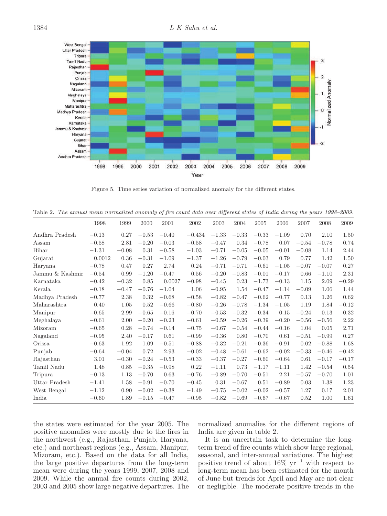

Figure 5. Time series variation of normalized anomaly for the different states.

Table 2. The annual mean normalized anomaly of fire count data over different states of India during the years 1998–2009.

|                 | 1998    | 1999    | 2000    | 2001    | 2002     | 2003    | 2004    | 2005    | 2006    | 2007    | 2008    | 2009    |
|-----------------|---------|---------|---------|---------|----------|---------|---------|---------|---------|---------|---------|---------|
| Andhra Pradesh  | $-0.13$ | 0.27    | $-0.53$ | $-0.40$ | $-0.434$ | $-1.33$ | $-0.33$ | $-0.33$ | $-1.09$ | 0.70    | 2.10    | 1.50    |
| Assam           | $-0.58$ | 2.81    | $-0.20$ | $-0.03$ | $-0.58$  | $-0.47$ | 0.34    | $-0.78$ | 0.07    | $-0.54$ | $-0.78$ | 0.74    |
| Bihar           | $-1.31$ | $-0.08$ | 0.31    | $-0.58$ | $-1.03$  | $-0.71$ | $-0.05$ | $-0.05$ | $-0.01$ | $-0.08$ | 1.14    | 2.44    |
| Gujarat         | 0.0012  | 0.36    | $-0.31$ | $-1.09$ | $-1.37$  | $-1.26$ | $-0.79$ | $-0.03$ | 0.79    | 0.77    | 1.42    | 1.50    |
| Haryana         | $-0.78$ | 0.47    | 0.27    | 2.74    | 0.24     | $-0.71$ | $-0.71$ | $-0.61$ | $-1.05$ | $-0.07$ | $-0.07$ | 0.27    |
| Jammu & Kashmir | $-0.54$ | 0.99    | $-1.20$ | $-0.47$ | 0.56     | $-0.20$ | $-0.83$ | $-0.01$ | $-0.17$ | 0.66    | $-1.10$ | 2.31    |
| Karnataka       | $-0.42$ | $-0.32$ | 0.85    | 0.0027  | $-0.98$  | $-0.45$ | 0.23    | $-1.73$ | $-0.13$ | 1.15    | 2.09    | $-0.29$ |
| Kerala          | $-0.18$ | $-0.47$ | $-0.76$ | $-1.04$ | 1.06     | $-0.95$ | 1.54    | $-0.47$ | $-1.14$ | $-0.09$ | 1.06    | 1.44    |
| Madhya Pradesh  | $-0.77$ | 2.38    | 0.32    | $-0.68$ | $-0.58$  | $-0.82$ | $-0.47$ | $-0.62$ | $-0.77$ | 0.13    | 1.26    | 0.62    |
| Maharashtra     | 0.40    | 1.05    | 0.52    | $-0.66$ | $-0.80$  | $-0.26$ | $-0.78$ | $-1.34$ | $-1.05$ | 1.19    | 1.84    | $-0.12$ |
| Manipur         | $-0.65$ | 2.99    | $-0.65$ | $-0.16$ | $-0.70$  | $-0.53$ | $-0.32$ | $-0.34$ | 0.15    | $-0.24$ | 0.13    | 0.32    |
| Meghalaya       | $-0.61$ | 2.00    | $-0.20$ | $-0.23$ | $-0.61$  | $-0.59$ | $-0.26$ | $-0.39$ | $-0.20$ | $-0.56$ | $-0.56$ | 2.22    |
| Mizoram         | $-0.65$ | 0.28    | $-0.74$ | $-0.14$ | $-0.75$  | $-0.67$ | $-0.54$ | $-0.44$ | $-0.16$ | 1.04    | 0.05    | 2.71    |
| Nagaland        | $-0.95$ | 2.40    | $-0.17$ | 0.61    | $-0.99$  | $-0.36$ | 0.80    | $-0.70$ | 0.61    | $-0.51$ | $-0.99$ | 0.27    |
| Orissa          | $-0.63$ | 1.92    | 1.09    | $-0.51$ | $-0.88$  | $-0.32$ | $-0.21$ | $-0.36$ | $-0.91$ | 0.02    | $-0.88$ | 1.68    |
| Punjab          | $-0.64$ | $-0.04$ | 0.72    | 2.93    | $-0.02$  | $-0.48$ | $-0.61$ | $-0.62$ | $-0.02$ | $-0.33$ | $-0.46$ | $-0.42$ |
| Rajasthan       | 3.01    | $-0.30$ | $-0.24$ | $-0.53$ | $-0.33$  | $-0.37$ | $-0.27$ | $-0.60$ | $-0.64$ | 0.61    | $-0.17$ | $-0.17$ |
| Tamil Nadu      | 1.48    | 0.85    | $-0.35$ | $-0.98$ | 0.22     | $-1.11$ | 0.73    | $-1.17$ | $-1.11$ | 1.42    | $-0.54$ | 0.54    |
| Tripura         | $-0.13$ | 1.13    | $-0.70$ | 0.63    | $-0.76$  | $-0.89$ | $-0.70$ | $-0.51$ | 2.21    | $-0.57$ | $-0.70$ | 1.01    |
| Uttar Pradesh   | $-1.41$ | 1.58    | $-0.91$ | $-0.70$ | $-0.45$  | 0.31    | $-0.67$ | 0.51    | $-0.89$ | 0.03    | 1.38    | 1.23    |
| West Bengal     | $-1.12$ | 0.90    | $-0.02$ | $-0.38$ | $-1.49$  | $-0.75$ | $-0.02$ | $-0.02$ | $-0.57$ | 1.27    | 0.17    | 2.01    |
| India           | $-0.60$ | 1.89    | $-0.15$ | $-0.47$ | $-0.95$  | $-0.82$ | $-0.69$ | $-0.67$ | $-0.67$ | 0.52    | 1.00    | 1.61    |

the states were estimated for the year 2005. The positive anomalies were mostly due to the fires in the northwest (e.g., Rajasthan, Punjab, Haryana, etc.) and northeast regions (e.g., Assam, Manipur, Mizoram, etc.). Based on the data for all India, the large positive departures from the long-term mean were during the years 1999, 2007, 2008 and 2009. While the annual fire counts during 2002, 2003 and 2005 show large negative departures. The normalized anomalies for the different regions of India are given in table 2.

It is an uncertain task to determine the longterm trend of fire counts which show large regional, seasonal, and inter-annual variations. The highest positive trend of about 16% yr<sup>−</sup><sup>1</sup> with respect to long-term mean has been estimated for the month of June but trends for April and May are not clear or negligible. The moderate positive trends in the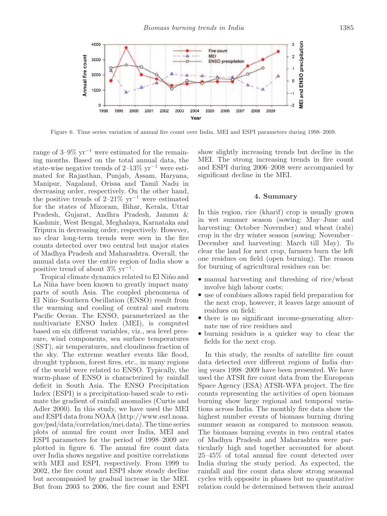

Figure 6. Time series variation of annual fire count over India, MEI and ESPI parameters during 1998–2009.

range of  $3-9\%$  yr<sup>-1</sup> were estimated for the remaining months. Based on the total annual data, the state-wise negative trends of 2–13% yr<sup>−</sup><sup>1</sup> were estimated for Rajasthan, Punjab, Assam, Haryana, Manipur, Nagaland, Orissa and Tamil Nadu in decreasing order, respectively. On the other hand, the positive trends of 2–21%  $yr^{-1}$  were estimated for the states of Mizoram, Bihar, Kerala, Uttar Pradesh, Gujarat, Andhra Pradesh, Jammu & Kashmir, West Bengal, Meghalaya, Karnataka and Tripura in decreasing order, respectively. However, no clear long-term trends were seen in the fire counts detected over two central but major states of Madhya Pradesh and Maharashtra. Overall, the annual data over the entire region of India show a positive trend of about  $3\% \text{ yr}^{-1}$ .

Tropical climate dynamics related to El Niño and La Niña have been known to greatly impact many parts of south Asia. The coupled phenomena of El Ni˜no–Southern Oscillation (ENSO) result from the warming and cooling of central and eastern Pacific Ocean. The ENSO, parameterized as the multivariate ENSO Index (MEI), is computed based on six different variables, viz., sea level pressure, wind components, sea surface temperatures (SST), air temperatures, and cloudiness fraction of the sky. The extreme weather events like flood, drought typhoon, forest fires, etc., in many regions of the world were related to ENSO. Typically, the warm-phase of ENSO is characterized by rainfall deficit in South Asia. The ENSO Precipitation Index (ESPI) is a precipitation-based scale to estimate the gradient of rainfall anomalies (Curtis and Adler 2000). In this study, we have used the MEI and ESPI data from NOAA (http://www.esrl.noaa. gov/psd/data/correlation/mei.data). The time series plots of annual fire count over India, MEI and ESPI parameters for the period of 1998–2009 are plotted in figure 6. The annual fire count data over India shows negative and positive correlations with MEI and ESPI, respectively. From 1999 to 2002, the fire count and ESPI show steady decline but accompanied by gradual increase in the MEI. But from 2003 to 2006, the fire count and ESPI show slightly increasing trends but decline in the MEI. The strong increasing trends in fire count and ESPI during 2006–2008 were accompanied by significant decline in the MEI.

#### 4. Summary

In this region, rice (kharif) crop is usually grown in wet summer season (sowing: May–June and harvesting: October–November) and wheat (rabi) crop in the dry winter season (sowing: November– December and harvesting: March till May). To clear the land for next crop, farmers burn the left one residues on field (open burning). The reason for burning of agricultural residues can be:

- manual harvesting and threshing of rice/wheat involve high labour costs;
- use of combines allows rapid field preparation for the next crop, however, it leaves large amount of residues on field;
- there is no significant income-generating alternate use of rice residues and
- burning residues is a quicker way to clear the fields for the next crop.

In this study, the results of satellite fire count data detected over different regions of India during years 1998–2009 have been presented. We have used the ATSR fire count data from the European Space Agency (ESA) ATSR-WFA project. The fire counts representing the activities of open biomass burning show large regional and temporal variations across India. The monthly fire data show the highest number events of biomass burning during summer season as compared to monsoon season. The biomass burning events in two central states of Madhya Pradesh and Maharashtra were particularly high and together accounted for about 25–45% of total annual fire count detected over India during the study period. As expected, the rainfall and fire count data show strong seasonal cycles with opposite in phases but no quantitative relation could be determined between their annual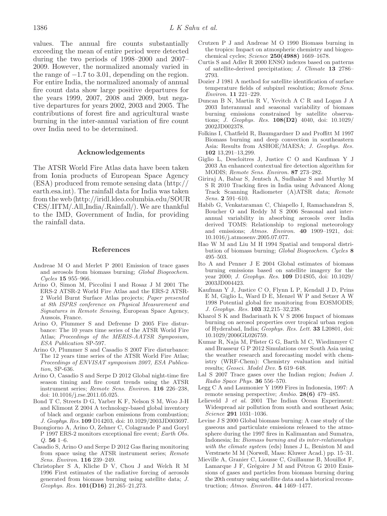values. The annual fire counts substantially exceeding the mean of entire period were detected during the two periods of 1998–2000 and 2007– 2009. However, the normalized anomaly varied in the range of  $-1.7$  to 3.01, depending on the region. For entire India, the normalized anomaly of annual fire count data show large positive departures for the years 1999, 2007, 2008 and 2009, but negative departures for years 2002, 2003 and 2005. The contributions of forest fire and agricultural waste burning in the inter-annual variation of fire count over India need to be determined.

## Acknowledgements

The ATSR World Fire Atlas data have been taken from Ionia products of European Space Agency (ESA) produced from remote sensing data (http:// earth.esa.int). The rainfall data for India was taken from the web (http://iridl.ldeo.columbia.edu/SOUR CES/.IITM/.All India/.Rainfall/). We are thankful to the IMD, Government of India, for providing the rainfall data.

# References

- Andreae M O and Merlet P 2001 Emission of trace gases and aerosols from biomass burning; Global Biogeochem. Cycles 15 955-966.
- Arino O, Simon M, Piccolini I and Rosaz J M 2001 The ERS-2 ATSR-2 World Fire Atlas and the ERS-2 ATSR-2 World Burnt Surface Atlas projects; Paper presented at 8th ISPRS conference on Physical Measurement and Signatures in Remote Sensing, European Space Agency, Aussois, France.
- Arino O, Plummer S and Defrenne D 2005 Fire disturbance: The 10 years time series of the ATSR World Fire Atlas; Proceedings of the MERIS-AATSR Symposium, ESA Publication SP-597.
- Arino O, Plummer S and Casadio S 2007 Fire disturbance: The 12 years time series of the ATSR World Fire Atlas; Proceedings of ENVISAT symposium 2007, ESA Publication, SP-636.
- Arino O, Casadio S and Serpe D 2012 Global night-time fire season timing and fire count trends using the ATSR instrument series; Remote Sens. Environ. 116 226–238, doi: 10.1016/j.rse.2011.05.025.
- Bond T C, Streets D G, Yarber K F, Nelson S M, Woo J-H and Klimont Z 2004 A technology-based global inventory of black and organic carbon emissions from combustion; J. Geophys. Res. 109 D14203, doi: 10.1029/2003JD003697.
- Buongiorno A, Arino O, Zehner C, Colagrande P and Goryl P 1997 ERS-2 monitors exceptional fire event; Earth Obs. Q. 56 1–6.
- Casadio S, Arino O and Serpe D 2012 Gas flaring monitoring from space using the ATSR instrument series; Remote Sens. Environ. 116 239–249.
- Christopher S A, Kliche D V, Chou J and Welch R M 1996 First estimates of the radiative forcing of aerosols generated from biomass burning using satellite data; J. Geophys. Res. 101(D16) 21,265–21,273.
- Crutzen P J and Andreae M O 1990 Biomass burning in the tropics: Impact on atmospheric chemistry and biogeochemical cycles; Science 250(4988) 1669–1678.
- Curtis S and Adler R 2000 ENSO indexes based on patterns of satellite-derived precipitation; J. Climate 13 2786– 2793.
- Dozier J 1981 A method for satellite identification of surface temperature fields of subpixel resolution; Remote Sens. Environ. 11 221–229.
- Duncan B N, Martin R V, Yevitch A C R and Logan J A 2003 Interannual and seasonal variability of biomass burning emissions constrained by satellite observations; J. Geophys. Res. 108(D2) 4040, doi: 10.1029/ 2002JD002378.
- Folkins I, Chatfield R, Baumgardner D and Proffitt M 1997 Biomass burning and deep convection in southeastern Asia: Results from ASHOE/MAESA; J. Geophys. Res. 102 13,291–13,299.
- Giglio L, Descloitres J, Justice C O and Kaufman Y J 2003 An enhanced contextual fire detection algorithm for MODIS; Remote Sens. Environ. 87 273–282.
- Giriraj A, Babar S, Jentsch A, Sudhakar S and Murthy M S R 2010 Tracking fires in India using Advanced Along Track Scanning Radiometer (A)ATSR data; Remote Sens. 2 591–610.
- Habib G, Venkataraman C, Chiapello I, Ramachandran S, Boucher O and Reddy M S 2006 Seasonal and interannual variability in absorbing aerosols over India derived TOMS: Relationship to regional meteorology and emissions; Atmos. Environ. 40 1909-1921, doi: 10.1016/j.atmosenv.2005.07.077.
- Hao W M and Liu M H 1994 Spatial and temporal distribution of biomass burning; Global Biogeochem. Cycles 8 495–503.
- Ito A and Penner J E 2004 Global estimates of biomass burning emissions based on satellite imagery for the year 2000; J. Geophys. Res. 109 D14S05, doi: 10.1029/ 2003JD004423.
- Kaufman Y J, Justice C O, Flynn L P, Kendall J D, Prins E M, Giglio L, Ward D E, Menzel W P and Setzer A W 1998 Potential global fire monitoring from EOSMODIS; J. Geophys. Res. 103 32,215–32,238.
- Kharol S K and Badarinath K V S 2006 Impact of biomass burning on aerosol properties over tropical urban region of Hyderabad, India; Geophys. Res. Lett. 33 L20801, doi: 10.1029/2006GL026759.
- Kumar R, Naja M, Pfister G G, Barth M C, Wiedinmyer C and Brasseur G P 2012 Simulations over South Asia using the weather research and forecasting model with chemistry (WRF-Chem): Chemistry evaluation and initial results; Geosci. Model Dev. 5 619–648.
- Lal S 2007 Trace gases over the Indian region; *Indian J.* Radio Space Phys. 36 556–570.
- Legg C A and Laumonier Y 1999 Fires in Indonesia, 1997: A remote sensing perspective; Ambio. 28(6) 479–485.
- Lelieveld J et al. 2001 The Indian Ocean Experiment: Widespread air pollution from south and southeast Asia; Science 291 1031–1036.
- Levine J S 2000 Global biomass burning: A case study of the gaseous and particulate emissions released to the atmosphere during the 1997 fires in Kalimantan and Sumatra, Indonesia; In: Biomass burning and its inter-relationships with the climate system (eds) Innes J L, Beniston M and Verstraete M M (Norwell, Mass: Kluwer Acad.) pp. 15–31.
- Mieville A, Granier C, Liousse C, Guillaume B, Mouillot F, Lamarque J F, Grégoire J M and Pétron G 2010 Emissions of gases and particles from biomass burning during the 20th century using satellite data and a historical reconstruction; Atmos. Environ. 44 1469–1477.